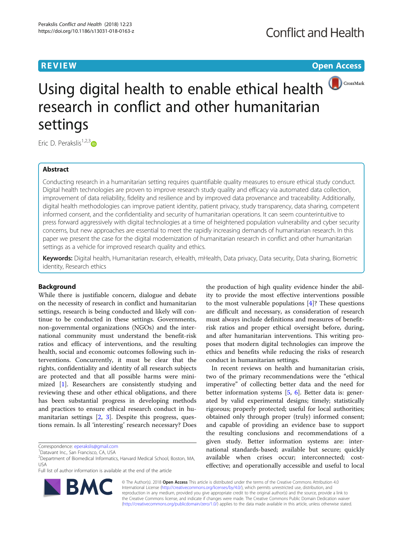# **REVIEW CONTROL** CONTROL CONTROL CONTROL CONTROL CONTROL CONTROL CONTROL CONTROL CONTROL CONTROL CONTROL CONTROL CONTROL CONTROL CONTROL CONTROL CONTROL CONTROL CONTROL CONTROL CONTROL CONTROL CONTROL CONTROL CONTROL CONTR



# Using digital health to enable ethical health research in conflict and other humanitarian settings

Eric D. Perakslis $1,2,3$  $1,2,3$ 

# Abstract

Conducting research in a humanitarian setting requires quantifiable quality measures to ensure ethical study conduct. Digital health technologies are proven to improve research study quality and efficacy via automated data collection, improvement of data reliability, fidelity and resilience and by improved data provenance and traceability. Additionally, digital health methodologies can improve patient identity, patient privacy, study transparency, data sharing, competent informed consent, and the confidentiality and security of humanitarian operations. It can seem counterintuitive to press forward aggressively with digital technologies at a time of heightened population vulnerability and cyber security concerns, but new approaches are essential to meet the rapidly increasing demands of humanitarian research. In this paper we present the case for the digital modernization of humanitarian research in conflict and other humanitarian settings as a vehicle for improved research quality and ethics.

Keywords: Digital health, Humanitarian research, eHealth, mHealth, Data privacy, Data security, Data sharing, Biometric identity, Research ethics

# Background

While there is justifiable concern, dialogue and debate on the necessity of research in conflict and humanitarian settings, research is being conducted and likely will continue to be conducted in these settings. Governments, non-governmental organizations (NGOs) and the international community must understand the benefit-risk ratios and efficacy of interventions, and the resulting health, social and economic outcomes following such interventions. Concurrently, it must be clear that the rights, confidentiality and identity of all research subjects are protected and that all possible harms were minimized [[1\]](#page-6-0). Researchers are consistently studying and reviewing these and other ethical obligations, and there has been substantial progress in developing methods and practices to ensure ethical research conduct in humanitarian settings  $[2, 3]$  $[2, 3]$  $[2, 3]$  $[2, 3]$  $[2, 3]$ . Despite this progress, questions remain. Is all 'interesting' research necessary? Does

<sup>1</sup>Datavant Inc., San Francisco, CA, USA



In recent reviews on health and humanitarian crisis, two of the primary recommendations were the "ethical imperative" of collecting better data and the need for better information systems [\[5](#page-6-0), [6](#page-6-0)]. Better data is: generated by valid experimental designs; timely; statistically rigorous; properly protected; useful for local authorities; obtained only through proper (truly) informed consent; and capable of providing an evidence base to support the resulting conclusions and recommendations of a given study. Better information systems are: international standards-based; available but secure; quickly available when crises occur; interconnected; costeffective; and operationally accessible and useful to local



© The Author(s). 2018 Open Access This article is distributed under the terms of the Creative Commons Attribution 4.0 International License [\(http://creativecommons.org/licenses/by/4.0/](http://creativecommons.org/licenses/by/4.0/)), which permits unrestricted use, distribution, and reproduction in any medium, provided you give appropriate credit to the original author(s) and the source, provide a link to the Creative Commons license, and indicate if changes were made. The Creative Commons Public Domain Dedication waiver [\(http://creativecommons.org/publicdomain/zero/1.0/](http://creativecommons.org/publicdomain/zero/1.0/)) applies to the data made available in this article, unless otherwise stated.

Correspondence: [eperakslis@gmail.com](mailto:eperakslis@gmail.com) <sup>1</sup>

<sup>&</sup>lt;sup>2</sup>Department of Biomedical Informatics, Harvard Medical School, Boston, MA, USA

Full list of author information is available at the end of the article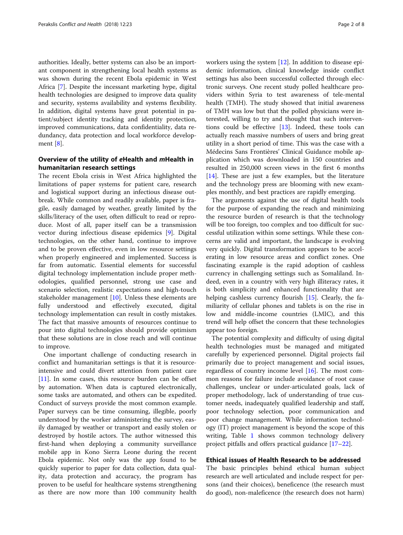authorities. Ideally, better systems can also be an important component in strengthening local health systems as was shown during the recent Ebola epidemic in West Africa [\[7](#page-6-0)]. Despite the incessant marketing hype, digital health technologies are designed to improve data quality and security, systems availability and systems flexibility. In addition, digital systems have great potential in patient/subject identity tracking and identity protection, improved communications, data confidentiality, data redundancy, data protection and local workforce development [[8\]](#page-6-0).

# Overview of the utility of eHealth and mHealth in humanitarian research settings

The recent Ebola crisis in West Africa highlighted the limitations of paper systems for patient care, research and logistical support during an infectious disease outbreak. While common and readily available, paper is fragile, easily damaged by weather, greatly limited by the skills/literacy of the user, often difficult to read or reproduce. Most of all, paper itself can be a transmission vector during infectious disease epidemics [[9\]](#page-6-0). Digital technologies, on the other hand, continue to improve and to be proven effective, even in low resource settings when properly engineered and implemented. Success is far from automatic. Essential elements for successful digital technology implementation include proper methodologies, qualified personnel, strong use case and scenario selection, realistic expectations and high-touch stakeholder management [[10\]](#page-6-0). Unless these elements are fully understood and effectively executed, digital technology implementation can result in costly mistakes. The fact that massive amounts of resources continue to pour into digital technologies should provide optimism that these solutions are in close reach and will continue to improve.

One important challenge of conducting research in conflict and humanitarian settings is that it is resourceintensive and could divert attention from patient care [[11\]](#page-6-0). In some cases, this resource burden can be offset by automation. When data is captured electronically, some tasks are automated, and others can be expedited. Conduct of surveys provide the most common example. Paper surveys can be time consuming, illegible, poorly understood by the worker administering the survey, easily damaged by weather or transport and easily stolen or destroyed by hostile actors. The author witnessed this first-hand when deploying a community surveillance mobile app in Kono Sierra Leone during the recent Ebola epidemic. Not only was the app found to be quickly superior to paper for data collection, data quality, data protection and accuracy, the program has proven to be useful for healthcare systems strengthening as there are now more than 100 community health workers using the system [\[12\]](#page-6-0). In addition to disease epidemic information, clinical knowledge inside conflict settings has also been successful collected through electronic surveys. One recent study polled healthcare providers within Syria to test awareness of tele-mental health (TMH). The study showed that initial awareness of TMH was low but that the polled physicians were interested, willing to try and thought that such interventions could be effective  $[13]$  $[13]$ . Indeed, these tools can actually reach massive numbers of users and bring great utility in a short period of time. This was the case with a Médecins Sans Frontières' Clinical Guidance mobile application which was downloaded in 150 countries and resulted in 250,000 screen views in the first 6 months [[14\]](#page-6-0). These are just a few examples, but the literature and the technology press are blooming with new examples monthly, and best practices are rapidly emerging.

The arguments against the use of digital health tools for the purpose of expanding the reach and minimizing the resource burden of research is that the technology will be too foreign, too complex and too difficult for successful utilization within some settings. While these concerns are valid and important, the landscape is evolving very quickly. Digital transformation appears to be accelerating in low resource areas and conflict zones. One fascinating example is the rapid adoption of cashless currency in challenging settings such as Somaliland. Indeed, even in a country with very high illiteracy rates, it is both simplicity and enhanced functionality that are helping cashless currency flourish [\[15](#page-6-0)]. Clearly, the familiarity of cellular phones and tablets is on the rise in low and middle-income countries (LMIC), and this trend will help offset the concern that these technologies appear too foreign.

The potential complexity and difficulty of using digital health technologies must be managed and mitigated carefully by experienced personnel. Digital projects fail primarily due to project management and social issues, regardless of country income level [[16\]](#page-6-0). The most common reasons for failure include avoidance of root cause challenges, unclear or under-articulated goals, lack of proper methodology, lack of understanding of true customer needs, inadequately qualified leadership and staff, poor technology selection, poor communication and poor change management. While information technology (IT) project management is beyond the scope of this writing, Table [1](#page-2-0) shows common technology delivery project pitfalls and offers practical guidance [\[17](#page-6-0)–[22\]](#page-6-0).

# Ethical issues of Health Research to be addressed

The basic principles behind ethical human subject research are well articulated and include respect for persons (and their choices), beneficence (the research must do good), non-maleficence (the research does not harm)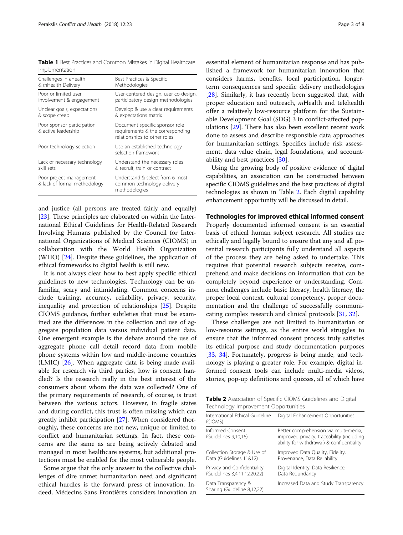<span id="page-2-0"></span>Table 1 Best Practices and Common Mistakes in Digital Healthcare Implementation

| Challenges in eHealth                                   | Best Practices & Specific                                                                          |
|---------------------------------------------------------|----------------------------------------------------------------------------------------------------|
| & mHealth Delivery                                      | Methodologies                                                                                      |
| Poor or limited user                                    | User-centered design, user co-design,                                                              |
| involvement & engagement                                | participatory design methodologies                                                                 |
| Unclear goals, expectations                             | Develop & use a clear requirements                                                                 |
| & scope creep                                           | & expectations matrix                                                                              |
| Poor sponsor participation<br>& active leadership       | Document specific sponsor role<br>requirements & the corresponding<br>relationships to other roles |
| Poor technology selection                               | Use an established technology<br>selection framework                                               |
| Lack of necessary technology                            | Understand the necessary roles                                                                     |
| skill sets                                              | & recruit, train or contract                                                                       |
| Poor project management<br>& lack of formal methodology | Understand & select from 6 most<br>common technology delivery<br>methodologies                     |

and justice (all persons are treated fairly and equally) [[23\]](#page-6-0). These principles are elaborated on within the International Ethical Guidelines for Health-Related Research Involving Humans published by the Council for International Organizations of Medical Sciences (CIOMS) in collaboration with the World Health Organization (WHO) [[24](#page-6-0)]. Despite these guidelines, the application of ethical frameworks to digital health is still new.

It is not always clear how to best apply specific ethical guidelines to new technologies. Technology can be unfamiliar, scary and intimidating. Common concerns include training, accuracy, reliability, privacy, security, inequality and protection of relationships [\[25\]](#page-6-0). Despite CIOMS guidance, further subtleties that must be examined are the differences in the collection and use of aggregate population data versus individual patient data. One emergent example is the debate around the use of aggregate phone call detail record data from mobile phone systems within low and middle-income countries (LMIC) [[26\]](#page-6-0). When aggregate data is being made available for research via third parties, how is consent handled? Is the research really in the best interest of the consumers about whom the data was collected? One of the primary requirements of research, of course, is trust between the various actors. However, in fragile states and during conflict, this trust is often missing which can greatly inhibit participation [[27](#page-6-0)]. When considered thoroughly, these concerns are not new, unique or limited to conflict and humanitarian settings. In fact, these concerns are the same as are being actively debated and managed in most healthcare systems, but additional protections must be enabled for the most vulnerable people.

Some argue that the only answer to the collective challenges of dire unmet humanitarian need and significant ethical hurdles is the forward press of innovation. Indeed, Médecins Sans Frontières considers innovation an

essential element of humanitarian response and has published a framework for humanitarian innovation that considers harms, benefits, local participation, longerterm consequences and specific delivery methodologies [[28\]](#page-6-0). Similarly, it has recently been suggested that, with proper education and outreach, mHealth and telehealth offer a relatively low-resource platform for the Sustainable Development Goal (SDG) 3 in conflict-affected populations [[29\]](#page-6-0). There has also been excellent recent work done to assess and describe responsible data approaches for humanitarian settings. Specifics include risk assessment, data value chain, legal foundations, and accountability and best practices [[30\]](#page-6-0).

Using the growing body of positive evidence of digital capabilities, an association can be constructed between specific CIOMS guidelines and the best practices of digital technologies as shown in Table 2. Each digital capability enhancement opportunity will be discussed in detail.

# Technologies for improved ethical informed consent

Properly documented informed consent is an essential basis of ethical human subject research. All studies are ethically and legally bound to ensure that any and all potential research participants fully understand all aspects of the process they are being asked to undertake. This requires that potential research subjects receive, comprehend and make decisions on information that can be completely beyond experience or understanding. Common challenges include basic literacy, health literacy, the proper local context, cultural competency, proper documentation and the challenge of successfully communicating complex research and clinical protocols [[31,](#page-6-0) [32\]](#page-6-0).

These challenges are not limited to humanitarian or low-resource settings, as the entire world struggles to ensure that the informed consent process truly satisfies its ethical purpose and study documentation purposes [[33,](#page-6-0) [34\]](#page-6-0). Fortunately, progress is being made, and technology is playing a greater role. For example, digital informed consent tools can include multi-media videos, stories, pop-up definitions and quizzes, all of which have

Table 2 Association of Specific CIOMS Guidelines and Digital Technology Improvement Opportunities

| International Ethical Guideline<br>(CIOMS)                  | Digital Enhancement Opportunities                                                                                               |
|-------------------------------------------------------------|---------------------------------------------------------------------------------------------------------------------------------|
| Informed Consent<br>(Guidelines 9,10,16)                    | Better comprehension via multi-media,<br>improved privacy, traceability (including<br>ability for withdrawal) & confidentiality |
| Collection Storage & Use of<br>Data (Guidelines 11&12)      | Improved Data Quality, Fidelity,<br>Provenance, Data Reliability                                                                |
| Privacy and Confidentiality<br>(Guidelines 3,4,11,12,20,22) | Digital Identity. Data Resilience,<br>Data Redundancy                                                                           |
| Data Transparency &<br>Sharing (Guideline 8,12,22)          | Increased Data and Study Transparency                                                                                           |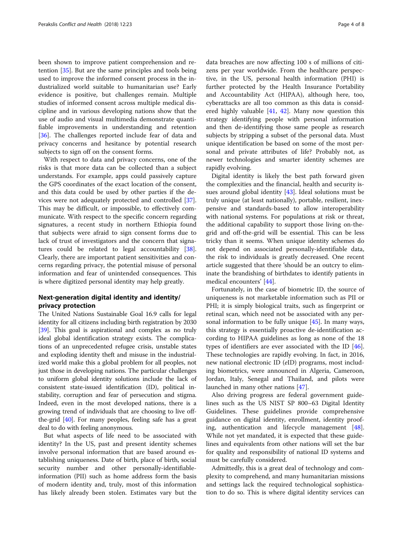been shown to improve patient comprehension and retention [\[35](#page-6-0)]. But are the same principles and tools being used to improve the informed consent process in the industrialized world suitable to humanitarian use? Early evidence is positive, but challenges remain. Multiple studies of informed consent across multiple medical discipline and in various developing nations show that the use of audio and visual multimedia demonstrate quantifiable improvements in understanding and retention [[36\]](#page-6-0). The challenges reported include fear of data and privacy concerns and hesitance by potential research subjects to sign off on the consent forms.

With respect to data and privacy concerns, one of the risks is that more data can be collected than a subject understands. For example, apps could passively capture the GPS coordinates of the exact location of the consent, and this data could be used by other parties if the devices were not adequately protected and controlled [\[37](#page-6-0)]. This may be difficult, or impossible, to effectively communicate. With respect to the specific concern regarding signatures, a recent study in northern Ethiopia found that subjects were afraid to sign consent forms due to lack of trust of investigators and the concern that signa-tures could be related to legal accountability [\[38](#page-6-0)]. Clearly, there are important patient sensitivities and concerns regarding privacy, the potential misuse of personal information and fear of unintended consequences. This is where digitized personal identity may help greatly.

# Next-generation digital identity and identity/ privacy protection

The United Nations Sustainable Goal 16.9 calls for legal identity for all citizens including birth registration by 2030 [[39](#page-6-0)]. This goal is aspirational and complex as no truly ideal global identification strategy exists. The complications of an unprecedented refugee crisis, unstable states and exploding identity theft and misuse in the industrialized world make this a global problem for all peoples, not just those in developing nations. The particular challenges to uniform global identity solutions include the lack of consistent state-issued identification (ID), political instability, corruption and fear of persecution and stigma. Indeed, even in the most developed nations, there is a growing trend of individuals that are choosing to live offthe-grid [[40](#page-6-0)]. For many peoples, feeling safe has a great deal to do with feeling anonymous.

But what aspects of life need to be associated with identity? In the US, past and present identity schemes involve personal information that are based around establishing uniqueness. Date of birth, place of birth, social security number and other personally-identifiableinformation (PII) such as home address form the basis of modern identity and, truly, most of this information has likely already been stolen. Estimates vary but the

data breaches are now affecting 100 s of millions of citizens per year worldwide. From the healthcare perspective, in the US, personal health information (PHI) is further protected by the Health Insurance Portability and Accountability Act (HIPAA), although here, too, cyberattacks are all too common as this data is considered highly valuable [[41](#page-6-0), [42](#page-6-0)]. Many now question this strategy identifying people with personal information and then de-identifying those same people as research subjects by stripping a subset of the personal data. Must unique identification be based on some of the most personal and private attributes of life? Probably not, as newer technologies and smarter identity schemes are rapidly evolving.

Digital identity is likely the best path forward given the complexities and the financial, health and security issues around global identity  $[43]$  $[43]$ . Ideal solutions must be truly unique (at least nationally), portable, resilient, inexpensive and standards-based to allow interoperability with national systems. For populations at risk or threat, the additional capability to support those living on-thegrid and off-the-grid will be essential. This can be less tricky than it seems. When unique identity schemes do not depend on associated personally-identifiable data, the risk to individuals is greatly decreased. One recent article suggested that there 'should be an outcry to eliminate the brandishing of birthdates to identify patients in medical encounters' [[44](#page-6-0)].

Fortunately, in the case of biometric ID, the source of uniqueness is not marketable information such as PII or PHI; it is simply biological traits, such as fingerprint or retinal scan, which need not be associated with any personal information to be fully unique [[45\]](#page-6-0). In many ways, this strategy is essentially proactive de-identification according to HIPAA guidelines as long as none of the 18 types of identifiers are ever associated with the ID [\[46](#page-6-0)]. These technologies are rapidly evolving. In fact, in 2016, new national electronic ID (eID) programs, most including biometrics, were announced in Algeria, Cameroon, Jordan, Italy, Senegal and Thailand, and pilots were launched in many other nations [[47](#page-6-0)].

Also driving progress are federal government guidelines such as the US NIST SP 800–63 Digital Identity Guidelines. These guidelines provide comprehensive guidance on digital identity, enrollment, identity proofing, authentication and lifecycle management [\[48](#page-6-0)]. While not yet mandated, it is expected that these guidelines and equivalents from other nations will set the bar for quality and responsibility of national ID systems and must be carefully considered.

Admittedly, this is a great deal of technology and complexity to comprehend, and many humanitarian missions and settings lack the required technological sophistication to do so. This is where digital identity services can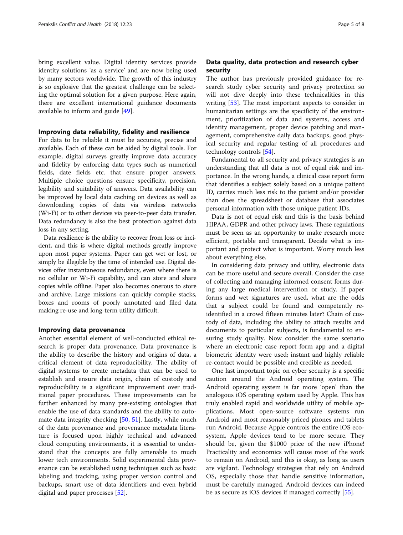bring excellent value. Digital identity services provide identity solutions 'as a service' and are now being used by many sectors worldwide. The growth of this industry is so explosive that the greatest challenge can be selecting the optimal solution for a given purpose. Here again, there are excellent international guidance documents available to inform and guide [[49](#page-7-0)].

# Improving data reliability, fidelity and resilience

For data to be reliable it must be accurate, precise and available. Each of these can be aided by digital tools. For example, digital surveys greatly improve data accuracy and fidelity by enforcing data types such as numerical fields, date fields etc. that ensure proper answers. Multiple choice questions ensure specificity, precision, legibility and suitability of answers. Data availability can be improved by local data caching on devices as well as downloading copies of data via wireless networks (Wi-Fi) or to other devices via peer-to-peer data transfer. Data redundancy is also the best protection against data loss in any setting.

Data resilience is the ability to recover from loss or incident, and this is where digital methods greatly improve upon most paper systems. Paper can get wet or lost, or simply be illegible by the time of intended use. Digital devices offer instantaneous redundancy, even where there is no cellular or Wi-Fi capability, and can store and share copies while offline. Paper also becomes onerous to store and archive. Large missions can quickly compile stacks, boxes and rooms of poorly annotated and filed data making re-use and long-term utility difficult.

# Improving data provenance

Another essential element of well-conducted ethical research is proper data provenance. Data provenance is the ability to describe the history and origins of data, a critical element of data reproducibility. The ability of digital systems to create metadata that can be used to establish and ensure data origin, chain of custody and reproducibility is a significant improvement over traditional paper procedures. These improvements can be further enhanced by many pre-existing ontologies that enable the use of data standards and the ability to automate data integrity checking [[50,](#page-7-0) [51\]](#page-7-0). Lastly, while much of the data provenance and provenance metadata literature is focused upon highly technical and advanced cloud computing environments, it is essential to understand that the concepts are fully amenable to much lower tech environments. Solid experimental data provenance can be established using techniques such as basic labeling and tracking, using proper version control and backups, smart use of data identifiers and even hybrid digital and paper processes [\[52](#page-7-0)].

# Data quality, data protection and research cyber security

The author has previously provided guidance for research study cyber security and privacy protection so will not dive deeply into these technicalities in this writing [\[53](#page-7-0)]. The most important aspects to consider in humanitarian settings are the specificity of the environment, prioritization of data and systems, access and identity management, proper device patching and management, comprehensive daily data backups, good physical security and regular testing of all procedures and technology controls [[54](#page-7-0)].

Fundamental to all security and privacy strategies is an understanding that all data is not of equal risk and importance. In the wrong hands, a clinical case report form that identifies a subject solely based on a unique patient ID, carries much less risk to the patient and/or provider than does the spreadsheet or database that associates personal information with those unique patient IDs.

Data is not of equal risk and this is the basis behind HIPAA, GDPR and other privacy laws. These regulations must be seen as an opportunity to make research more efficient, portable and transparent. Decide what is important and protect what is important. Worry much less about everything else.

In considering data privacy and utility, electronic data can be more useful and secure overall. Consider the case of collecting and managing informed consent forms during any large medical intervention or study. If paper forms and wet signatures are used, what are the odds that a subject could be found and competently reidentified in a crowd fifteen minutes later? Chain of custody of data, including the ability to attach results and documents to particular subjects, is fundamental to ensuring study quality. Now consider the same scenario where an electronic case report form app and a digital biometric identity were used; instant and highly reliable re-contact would be possible and credible as needed.

One last important topic on cyber security is a specific caution around the Android operating system. The Android operating system is far more 'open' than the analogous iOS operating system used by Apple. This has truly enabled rapid and worldwide utility of mobile applications. Most open-source software systems run Android and most reasonably priced phones and tablets run Android. Because Apple controls the entire iOS ecosystem, Apple devices tend to be more secure. They should be, given the \$1000 price of the new iPhone! Practicality and economics will cause most of the work to remain on Android, and this is okay, as long as users are vigilant. Technology strategies that rely on Android OS, especially those that handle sensitive information, must be carefully managed. Android devices can indeed be as secure as iOS devices if managed correctly [\[55\]](#page-7-0).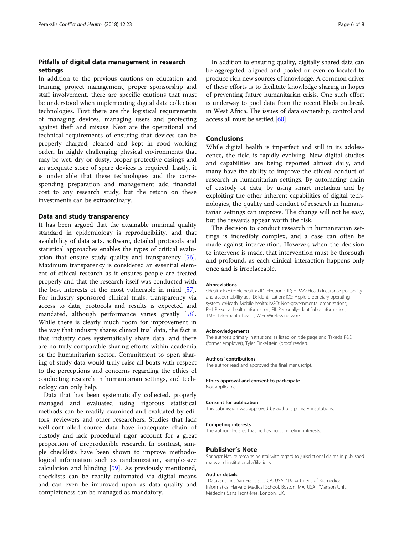# Pitfalls of digital data management in research settings

In addition to the previous cautions on education and training, project management, proper sponsorship and staff involvement, there are specific cautions that must be understood when implementing digital data collection technologies. First there are the logistical requirements of managing devices, managing users and protecting against theft and misuse. Next are the operational and technical requirements of ensuring that devices can be properly charged, cleaned and kept in good working order. In highly challenging physical environments that may be wet, dry or dusty, proper protective casings and an adequate store of spare devices is required. Lastly, it is undeniable that these technologies and the corresponding preparation and management add financial cost to any research study, but the return on these investments can be extraordinary.

# Data and study transparency

It has been argued that the attainable minimal quality standard in epidemiology is reproducibility, and that availability of data sets, software, detailed protocols and statistical approaches enables the types of critical evaluation that ensure study quality and transparency [\[56](#page-7-0)]. Maximum transparency is considered an essential element of ethical research as it ensures people are treated properly and that the research itself was conducted with the best interests of the most vulnerable in mind [\[57](#page-7-0)]. For industry sponsored clinical trials, transparency via access to data, protocols and results is expected and mandated, although performance varies greatly [\[58](#page-7-0)]. While there is clearly much room for improvement in the way that industry shares clinical trial data, the fact is that industry does systematically share data, and there are no truly comparable sharing efforts within academia or the humanitarian sector. Commitment to open sharing of study data would truly raise all boats with respect to the perceptions and concerns regarding the ethics of conducting research in humanitarian settings, and technology can only help.

Data that has been systematically collected, properly managed and evaluated using rigorous statistical methods can be readily examined and evaluated by editors, reviewers and other researchers. Studies that lack well-controlled source data have inadequate chain of custody and lack procedural rigor account for a great proportion of irreproducible research. In contrast, simple checklists have been shown to improve methodological information such as randomization, sample-size calculation and blinding [[59\]](#page-7-0). As previously mentioned, checklists can be readily automated via digital means and can even be improved upon as data quality and completeness can be managed as mandatory.

In addition to ensuring quality, digitally shared data can be aggregated, aligned and pooled or even co-located to produce rich new sources of knowledge. A common driver of these efforts is to facilitate knowledge sharing in hopes of preventing future humanitarian crisis. One such effort is underway to pool data from the recent Ebola outbreak in West Africa. The issues of data ownership, control and access all must be settled [\[60\]](#page-7-0).

# Conclusions

While digital health is imperfect and still in its adolescence, the field is rapidly evolving. New digital studies and capabilities are being reported almost daily, and many have the ability to improve the ethical conduct of research in humanitarian settings. By automating chain of custody of data, by using smart metadata and by exploiting the other inherent capabilities of digital technologies, the quality and conduct of research in humanitarian settings can improve. The change will not be easy, but the rewards appear worth the risk.

The decision to conduct research in humanitarian settings is incredibly complex, and a case can often be made against intervention. However, when the decision to intervene is made, that intervention must be thorough and profound, as each clinical interaction happens only once and is irreplaceable.

#### Abbreviations

eHealth: Electronic health; eID: Electronic ID; HIPAA: Health insurance portability and accountability act; ID: Identification; IOS: Apple proprietary operating system; mHeath: Mobile health; NGO: Non-governmental organizations; PHI: Personal health information; PII: Personally-identifiable information; TMH: Tele-mental health; WiFi: Wireless network

#### Acknowledgements

The author's primary institutions as listed on title page and Takeda R&D (former employer), Tyler Finkelstein (proof reader).

#### Authors' contributions

The author read and approved the final manuscript.

#### Ethics approval and consent to participate

Not applicable.

#### Consent for publication

This submission was approved by author's primary institutions.

#### Competing interests

The author declares that he has no competing interests.

### Publisher's Note

Springer Nature remains neutral with regard to jurisdictional claims in published maps and institutional affiliations.

#### Author details

<sup>1</sup>Datavant Inc., San Francisco, CA, USA. <sup>2</sup>Department of Biomedical Informatics, Harvard Medical School, Boston, MA, USA. <sup>3</sup>Manson Unit, Médecins Sans Frontières, London, UK.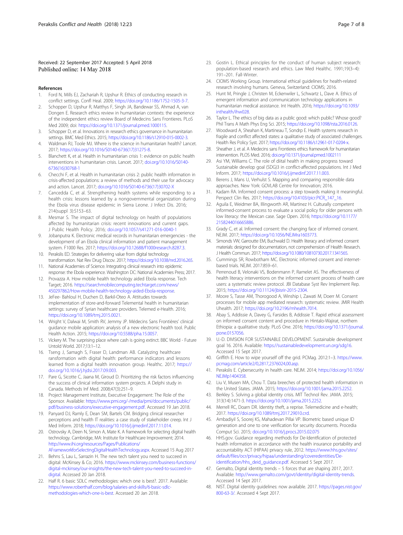# <span id="page-6-0"></span>Received: 22 September 2017 Accepted: 5 April 2018 Published online: 14 May 2018

- References
- 1. Ford N, Mills EJ, Zachariah R, Upshur R. Ethics of conducting research in conflict settings. Confl Heal. 2009; <https://doi.org/10.1186/1752-1505-3-7>.
- 2. Schopper D, Upshur R, Matthys F, Singh JA, Bandewar SS, Ahmad A, van Dongen E. Research ethics review in humanitarian contexts: the experience of the independent ethics review Board of Medecins Sans Frontieres. PLoS Med 2009; doi: [https://doi.org/10.1371/journal.pmed.1000115.](https://doi.org/10.1371/journal.pmed.1000115)
- Schopper D, et al. Innovations in research ethics governance in humanitarian settings. BMC Med Ethics. 2015; <https://doi.org/10.1186/s12910-015-0002-3>.
- 4. Waldman RJ, Toole MJ. Where is the science in humanitarian health? Lancet. 2017; [https://doi.org/10.1016/S0140-6736\(17\)31275-8.](https://doi.org/10.1016/S0140-6736(17)31275-8)
- 5. Blanchett K, et al. Health in humanitarian crisis 1: evidence on public health interventions in humanitarian crisis. Lancet. 2017; [doi.org/10.1016/S0140-](http://dx.doi.org/10.1016/S0140-6736(16)30768-1) [6736\(16\)30768-1](http://dx.doi.org/10.1016/S0140-6736(16)30768-1)
- 6. Checchi F, et al. Health in humanitarian crisis 2: public health information in crisis-affected populations: a review of methods and their use for advocacy and action. Lancet. 2017; [doi.org/10.1016/S0140-6736\(17\)30702-X](http://dx.doi.org/10.1016/S0140-6736(17)30702-X)
- 7. Cancedda C, et al. Strengthening health systems while responding to a health crisis: lessons learned by a nongovernmental organization during the Ebola virus disease epidemic in Sierra Leone. J Infect Dis. 2016; 214(suppl 3):S153–63.
- Mesmar S. The impact of digital technology on health of populations affected by humanitarian crisis: recent innovations and current gaps. J Public Health Policy. 2016; [doi.org/10.1057/s41271-016-0040-1](http://doi.org/10.1057/s41271-016-0040-1)
- 9. Jobanputra K. Electronic medical records in humanitarian emergencies the development of an Ebola clinical information and patient management system. F1000 Res. 2017; [https://doi.org/10.12688/f1000research.8287.3.](https://doi.org/10.12688/f1000research.8287.3)
- 10. Perakslis ED. Strategies for delivering value from digital technology transformation. Nat Rev Drug Discov. 2017; [https://doi.org/10.1038/nrd.2016.265.](https://doi.org/10.1038/nrd.2016.265)
- 11. National Academies of Science. Integrating clinical research into epidemic
- response: the Ebola experience. Washington DC: National Academies Press; 2017. 12. Provazza A. How mobile health technology aided Ebola response. Tech Target; 2016. [https://searchmobilecomputing.techtarget.com/news/](https://searchmobilecomputing.techtarget.com/news/450297862/How-mobile-health-technology-aided-Ebola-response)
- [450297862/How-mobile-health-technology-aided-Ebola-response](https://searchmobilecomputing.techtarget.com/news/450297862/How-mobile-health-technology-aided-Ebola-response). 13. JeFee- Bahloul H, Duchen D, Barkil-Oteo A. Attitudes towards implementation of store-and-forward Telemental health in humanitarian settings: survey of Syrian healthcare providers. Telemed e-Health. 2016; <https://doi.org/10.1089/tmj.2015.0021>.
- 14. Wright V, Dalwai M, Smith RV, Jemmy JP. Médecins Sans Frontières' clinical guidance mobile application: analysis of a new electronic health tool. Public Health Action. 2015; <https://doi.org/10.5588/pha.15.0057>.
- 15. Vickery M. The surprising place where cash is going extinct. BBC World Future Untold World. 2017;13:1–12.
- 16. Tseng J, Samagh S, Fraser D, Landman AB. Catalyzing healthcare ransformation with digital health: performance indicators and lessons learned from a digital health innovation group. Healthc. 2017; [https://](https://doi.org/10.1016/j.hjdsi.2017.09.003) [doi.org/10.1016/j.hjdsi.2017.09.003.](https://doi.org/10.1016/j.hjdsi.2017.09.003)
- 17. Pare G, Sicotte C, Jaana M, Giroud D. Prioritizing the risk factors influencing the success of clinical information system projects. A Delphi study in Canada. Methods Inf Med. 2008;47(3):251–9.
- 18. Project Management Institute, Executive Engagement: The Role of the Sponsor. Available: [https://www.pmi.org/-/media/pmi/documents/public/](https://www.pmi.org/-/media/pmi/documents/public/pdf/business-solutions/executive-engagement.pdf) [pdf/business-solutions/executive-engagement.pdf](https://www.pmi.org/-/media/pmi/documents/public/pdf/business-solutions/executive-engagement.pdf). Accessed 19 Jan 2018.
- 19. Panyard DJ, Ramly E, Dean SM, Bartels CM. Bridging clinical researcher perceptions and health IT realities: a case study of stakeholder creep. Int J Med Inform. 2018; [https://doi.org/10.1016/j.ijmedinf.2017.11.014.](https://doi.org/10.1016/j.ijmedinf.2017.11.014)
- 20. Ostrovsky A, Deen N, Simon A, Mate K. A framework for selecting digital health technology. Cambridge, MA: Institute for Healthcare Improvement; 2014. [http://www.ihi.org/resources/Pages/Publications/](http://www.ihi.org/resources/Pages/Publications/AFrameworkforSelectingDigitalHealthTechnology.aspx) [AFrameworkforSelectingDigitalHealthTechnology.aspx.](http://www.ihi.org/resources/Pages/Publications/AFrameworkforSelectingDigitalHealthTechnology.aspx) Accessed 15 Aug 2017
- 21. Behns S, Lau L, Sarrazin H. The new tech talent you need to succeed in
- digital: McKinsey & Co; 2016. [https://www.mckinsey.com/business-functions/](https://www.mckinsey.com/business-functions/digital-mckinsey/our-insights/the-new-tech-talent-you-need-to-succeed-in-digital) [digital-mckinsey/our-insights/the-new-tech-talent-you-need-to-succeed-in](https://www.mckinsey.com/business-functions/digital-mckinsey/our-insights/the-new-tech-talent-you-need-to-succeed-in-digital)[digital](https://www.mckinsey.com/business-functions/digital-mckinsey/our-insights/the-new-tech-talent-you-need-to-succeed-in-digital). Accessed 20 Jan 2018.
- 22. Half R. 6 basic SDLC methodologies: which one is best?. 2017. Available: [https://www.roberthalf.com/blog/salaries-and-skills/6-basic-sdlc](https://www.roberthalf.com/blog/salaries-and-skills/6-basic-sdlc-methodologies-which-one-is-best)[methodologies-which-one-is-best.](https://www.roberthalf.com/blog/salaries-and-skills/6-basic-sdlc-methodologies-which-one-is-best) Accessed 20 Jan 2018.
- 23. Gostin L. Ethical principles for the conduct of human subject research: population-based research and ethics. Law Med Healthc. 1991;19(3–4): 191–201. Fall-Winter.
- 24. CIOMS Working Group. International ethical guidelines for health-related research involving humans. Geneva, Switzerland: CIOMS; 2016.
- 25. Hunt M, Pringle J, Christen M, Eckenwiler L, Schwartz L, Dave A. Ethics of emergent information and communication technology applications in humanitarian medical assistance. Int Health. 2016; [https://doi.org/10.1093/](https://doi.org/10.1093/inthealth/ihw028) [inthealth/ihw028.](https://doi.org/10.1093/inthealth/ihw028)
- 26. Taylor L. The ethics of big data as a public good: which public? Whose good? Phil Trans A Math Phys Eng Sci. 2015; [https://doi.org/10.1098/rsta.2016.0126.](https://doi.org/10.1098/rsta.2016.0126)
- 27. Woodward A, Sheahan K, Martineau T, Sondro E, Health systems research in fragile and conflict affected states: a qualitative study of associated challenges. Health Res Policy Syst. 2017; <https://doi.org/10.1186/s12961-017-0204-x>.
- 28. Sheather J, et al. A Medecins sans Frontieres ethics framework for humanitarian intervention. PLOS Med. 2016; [doi.org/10.1371/journal.pmed.1002111](https://doi.org/10.1371/journal.pmed.1002111)
- 29. Asi YM, Williams C. The role of diital health in making progress toward Sustainable develop goal (SDG)3 in conflict-affected populations. Int J Med Inform. 2017; <https://doi.org/10.1016/j.ijmedinf.2017.11.003>.
- 30. Berens J, Mans U, Verhulst S. Mapping and comparing responsible data approaches. New York: GOVLAB Centre for Innovation; 2016.
- 31. Kadam RA. Informed consent process: a step towards making it meaningful. Perspect Clin Res. 2017; [https://doi.org/10.4103/picr.PICR\\_147\\_16.](https://doi.org/10.4103/picr.PICR_147_16)
- 32. Aguila E, Weidmer BA, Illingworth AR, Martinez H. Culturally competent informed-consent process to evaluate a social policy for older persons with low literacy: the Mexican case. Sage Open. 2016; [https://doi.org/10.1177/](https://doi.org/10.1177/2158244016665886) [2158244016665886](https://doi.org/10.1177/2158244016665886).
- 33. Grady C, et al. Informed consent: the changing face of informed consent. NEJM. 2017; [https://doi.org/10.1056/NEJMra1603773.](https://doi.org/10.1056/NEJMra1603773)
- 34. Simonds VW, Garroutte EM, Buchwald D. Health literacy and informed consent materials: designed for documentation, not comprehension of Health Research. J Health Commun. 2017; <https://doi.org/10.1080/10810730.2017.1341565>.
- 35. Cummings SR, Rowbotham MC. Electronic informed consent and internetbased trials. NEJM. 2017:859–61.
- 36. Perrenoud B, Velonaki VS, Bodenmann P, Ramelet AS. The effectiveness of health literacy interventions on the informed consent process of health care users: a systematic review protocol. JBI Database Syst Rev Implement Rep. 2015; [https://doi.org/10.11124/jbisrir-2015-2304.](https://doi.org/10.11124/jbisrir-2015-2304)
- 37. Moore S, Tasse AM, Thorogood A, Winship I, Zawati M, Doerr M. Consent processes for mobile app mediated research: systematic review. JMIR Health Uhealth. 2017; [https://doi.org/10.2196/mhealth.7014.](https://doi.org/10.2196/mhealth.7014)
- 38. Abay S, Addissie A, Davey G, Farsides B, Addissie T. Rapid ethical assessment on informed consent content and procedure in Hintalo-Wajirat, northern Ethiopia: a qualitative study. PLoS One. 2016; [https://doi.org/10.1371/journal.](https://doi.org/10.1371/journal.pone.0157056) [pone.0157056.](https://doi.org/10.1371/journal.pone.0157056)
- 39. U.-D. DIVISION FOR SUSTAINABLE DEVELOPMENT. Sustainable development goal 16. 2016. Available: <https://sustainabledevelopment.un.org/sdg16>. Accessed 15 Sept 2017.
- 40. Griffith E. How to wipe yourself off the grid. PCMag. 2012:1–3. [https://www.](https://www.pcmag.com/article2/0,2817,2376024,00.asp) [pcmag.com/article2/0,2817,2376024,00.asp.](https://www.pcmag.com/article2/0,2817,2376024,00.asp)
- 41. Perakslis E. Cybersecurity in health care. NEJM. 2014; [https://doi.org/10.1056/](https://doi.org/10.1056/NEJMp1404358) [NEJMp1404358](https://doi.org/10.1056/NEJMp1404358).
- 42. Liu V, Musen MA, Chou T. Data breeches of protected health information in the United States. JAMA. 2015; [https://doi.org/10.1001/jama.2015.2252.](https://doi.org/10.1001/jama.2015.2252)
- 43. Berkley S. Solving a global identity crisis. MIT Technol Rev. JAMA. 2015; 313(14):1471-3. [https://doi.org/10.1001/jama.2015.2252.](https://doi.org/10.1001/jama.2015.2252)
- 44. Merrell RC, Doarn DR. Identity theft, a reprise. Telemedicine and e-health; 2017. [https://doi.org/10.1089/tmj.2017.29010.crd.](https://doi.org/10.1089/tmj.2017.29010.crd)
- 45. Ambadiyil S, Soorej KS, Mahadevan Pillai VP. Biometric based unique ID generation and one to one verification for security documents. Procedia Comput Sci. 2015; [doi.org/10.1016/j.procs.2015.02.075](https://doi.org/10.1016/j.procs.2015.02.075)
- 46. HHS.gov. Guidance regarding methods for De-Identfication of protected health information in accordance with the health insurance portability and accountability ACT (HIPAA) privacy rule, 2012. [https://www.hhs.gov/sites/](https://www.hhs.gov/sites/default/files/ocr/privacy/hipaa/understanding/coveredentities/De-identification/hhs_deid_guidance.pdf) [default/files/ocr/privacy/hipaa/understanding/coveredentities/De](https://www.hhs.gov/sites/default/files/ocr/privacy/hipaa/understanding/coveredentities/De-identification/hhs_deid_guidance.pdf)[identification/hhs\\_deid\\_guidance.pdf](https://www.hhs.gov/sites/default/files/ocr/privacy/hipaa/understanding/coveredentities/De-identification/hhs_deid_guidance.pdf). Accessed 5 Sept 2017.
- 47. Gemalto, Digital identity trends 5 forces that are shaping 2017, 2017. Available: <http://www.gemalto.com/govt/identity/digital-identity-trends>. Accessed 14 Sept 2017.
- 48. NIST. Digital identity guidelines: now available. 2017. [https://pages.nist.gov/](https://pages.nist.gov/800-63-3/) [800-63-3/.](https://pages.nist.gov/800-63-3/) Accessed 4 Sept 2017.